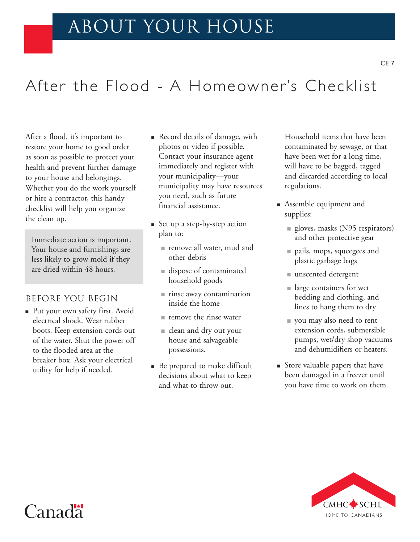## about your house

# After the Flood - A Homeowner's Checklist

After a flood, it's important to restore your home to good order as soon as possible to protect your health and prevent further damage to your house and belongings. Whether you do the work yourself or hire a contractor, this handy checklist will help you organize the clean up.

Immediate action is important. Your house and furnishings are less likely to grow mold if they are dried within 48 hours.

### Before you begin

■ Put your own safety first. Avoid electrical shock. Wear rubber boots. Keep extension cords out of the water. Shut the power off to the flooded area at the breaker box. Ask your electrical utility for help if needed.

- Record details of damage, with photos or video if possible. Contact your insurance agent immediately and register with your municipality—your municipality may have resources you need, such as future financial assistance.
- Set up a step-by-step action plan to:
	- remove all water, mud and other debris
	- dispose of contaminated household goods
	- rinse away contamination inside the home
	- remove the rinse water
	- clean and dry out your house and salvageable possessions.
- Be prepared to make difficult decisions about what to keep and what to throw out.

Household items that have been contaminated by sewage, or that have been wet for a long time, will have to be bagged, tagged and discarded according to local regulations.

- Assemble equipment and supplies:
	- gloves, masks (N95 respirators) and other protective gear
	- pails, mops, squeegees and plastic garbage bags
	- unscented detergent
	- large containers for wet bedding and clothing, and lines to hang them to dry
	- you may also need to rent extension cords, submersible pumps, wet/dry shop vacuums and dehumidifiers or heaters.
- Store valuable papers that have been damaged in a freezer until you have time to work on them.



## $C$ anad $\ddagger$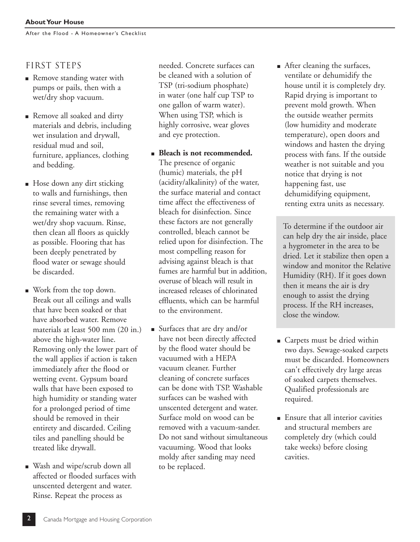After the Flood - A Homeowner's Checklist

### FIRST STEPS

- Remove standing water with pumps or pails, then with a wet/dry shop vacuum.
- Remove all soaked and dirty materials and debris, including wet insulation and drywall, residual mud and soil, furniture, appliances, clothing and bedding.
- Hose down any dirt sticking to walls and furnishings, then rinse several times, removing the remaining water with a wet/dry shop vacuum. Rinse, then clean all floors as quickly as possible. Flooring that has been deeply penetrated by flood water or sewage should be discarded.
- Work from the top down. Break out all ceilings and walls that have been soaked or that have absorbed water. Remove materials at least 500 mm (20 in.) above the high-water line. Removing only the lower part of the wall applies if action is taken immediately after the flood or wetting event. Gypsum board walls that have been exposed to high humidity or standing water for a prolonged period of time should be removed in their entirety and discarded. Ceiling tiles and panelling should be treated like drywall.
- Wash and wipe/scrub down all affected or flooded surfaces with unscented detergent and water. Rinse. Repeat the process as

needed. Concrete surfaces can be cleaned with a solution of TSP (tri-sodium phosphate) in water (one half cup TSP to one gallon of warm water). When using TSP, which is highly corrosive, wear gloves and eye protection.

- **Bleach is not recommended.** The presence of organic (humic) materials, the pH (acidity/alkalinity) of the water, the surface material and contact time affect the effectiveness of bleach for disinfection. Since these factors are not generally controlled, bleach cannot be relied upon for disinfection. The most compelling reason for advising against bleach is that fumes are harmful but in addition, overuse of bleach will result in increased releases of chlorinated effluents, which can be harmful to the environment.
- Surfaces that are dry and/or have not been directly affected by the flood water should be vacuumed with a HEPA vacuum cleaner. Further cleaning of concrete surfaces can be done with TSP. Washable surfaces can be washed with unscented detergent and water. Surface mold on wood can be removed with a vacuum-sander. Do not sand without simultaneous vacuuming. Wood that looks moldy after sanding may need to be replaced.

■ After cleaning the surfaces, ventilate or dehumidify the house until it is completely dry. Rapid drying is important to prevent mold growth. When the outside weather permits (low humidity and moderate temperature), open doors and windows and hasten the drying process with fans. If the outside weather is not suitable and you notice that drying is not happening fast, use dehumidifying equipment, renting extra units as necessary.

To determine if the outdoor air can help dry the air inside, place a hygrometer in the area to be dried. Let it stabilize then open a window and monitor the Relative Humidity (RH). If it goes down then it means the air is dry enough to assist the drying process. If the RH increases, close the window.

- Carpets must be dried within two days. Sewage-soaked carpets must be discarded. Homeowners can't effectively dry large areas of soaked carpets themselves. Qualified professionals are required.
- Ensure that all interior cavities and structural members are completely dry (which could take weeks) before closing cavities.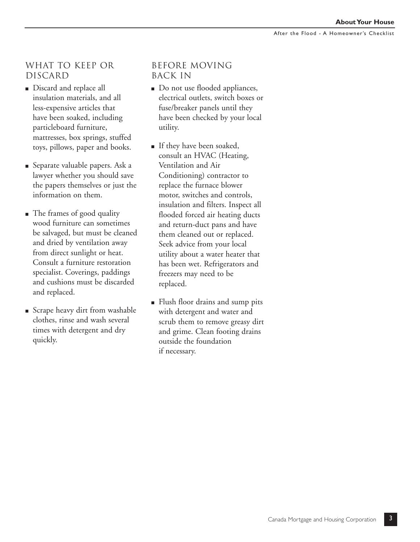### What to keep or discard

- Discard and replace all insulation materials, and all less-expensive articles that have been soaked, including particleboard furniture, mattresses, box springs, stuffed toys, pillows, paper and books.
- Separate valuable papers. Ask a lawyer whether you should save the papers themselves or just the information on them.
- The frames of good quality wood furniture can sometimes be salvaged, but must be cleaned and dried by ventilation away from direct sunlight or heat. Consult a furniture restoration specialist. Coverings, paddings and cushions must be discarded and replaced.
- Scrape heavy dirt from washable clothes, rinse and wash several times with detergent and dry quickly.

#### Before moving back in

- Do not use flooded appliances, electrical outlets, switch boxes or fuse/breaker panels until they have been checked by your local utility.
- If they have been soaked, consult an HVAC (Heating, Ventilation and Air Conditioning) contractor to replace the furnace blower motor, switches and controls, insulation and filters. Inspect all flooded forced air heating ducts and return-duct pans and have them cleaned out or replaced. Seek advice from your local utility about a water heater that has been wet. Refrigerators and freezers may need to be replaced.
- Flush floor drains and sump pits with detergent and water and scrub them to remove greasy dirt and grime. Clean footing drains outside the foundation if necessary.